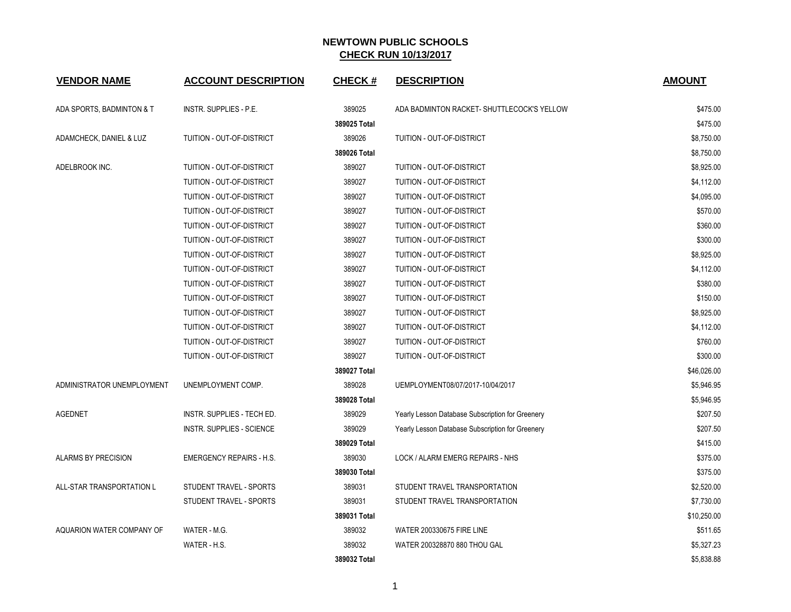| <b>VENDOR NAME</b>         | <b>ACCOUNT DESCRIPTION</b>       | <b>CHECK#</b> | <b>DESCRIPTION</b>                               | <b>AMOUNT</b> |
|----------------------------|----------------------------------|---------------|--------------------------------------------------|---------------|
| ADA SPORTS, BADMINTON & T  | INSTR. SUPPLIES - P.E.           | 389025        | ADA BADMINTON RACKET- SHUTTLECOCK'S YELLOW       | \$475.00      |
|                            |                                  | 389025 Total  |                                                  | \$475.00      |
| ADAMCHECK, DANIEL & LUZ    | TUITION - OUT-OF-DISTRICT        | 389026        | TUITION - OUT-OF-DISTRICT                        | \$8,750.00    |
|                            |                                  | 389026 Total  |                                                  | \$8,750.00    |
| ADELBROOK INC.             | TUITION - OUT-OF-DISTRICT        | 389027        | TUITION - OUT-OF-DISTRICT                        | \$8,925.00    |
|                            | TUITION - OUT-OF-DISTRICT        | 389027        | TUITION - OUT-OF-DISTRICT                        | \$4,112.00    |
|                            | TUITION - OUT-OF-DISTRICT        | 389027        | TUITION - OUT-OF-DISTRICT                        | \$4,095.00    |
|                            | TUITION - OUT-OF-DISTRICT        | 389027        | TUITION - OUT-OF-DISTRICT                        | \$570.00      |
|                            | TUITION - OUT-OF-DISTRICT        | 389027        | TUITION - OUT-OF-DISTRICT                        | \$360.00      |
|                            | TUITION - OUT-OF-DISTRICT        | 389027        | TUITION - OUT-OF-DISTRICT                        | \$300.00      |
|                            | TUITION - OUT-OF-DISTRICT        | 389027        | TUITION - OUT-OF-DISTRICT                        | \$8,925.00    |
|                            | TUITION - OUT-OF-DISTRICT        | 389027        | TUITION - OUT-OF-DISTRICT                        | \$4,112.00    |
|                            | TUITION - OUT-OF-DISTRICT        | 389027        | TUITION - OUT-OF-DISTRICT                        | \$380.00      |
|                            | TUITION - OUT-OF-DISTRICT        | 389027        | TUITION - OUT-OF-DISTRICT                        | \$150.00      |
|                            | TUITION - OUT-OF-DISTRICT        | 389027        | TUITION - OUT-OF-DISTRICT                        | \$8,925.00    |
|                            | TUITION - OUT-OF-DISTRICT        | 389027        | TUITION - OUT-OF-DISTRICT                        | \$4,112.00    |
|                            | TUITION - OUT-OF-DISTRICT        | 389027        | TUITION - OUT-OF-DISTRICT                        | \$760.00      |
|                            | TUITION - OUT-OF-DISTRICT        | 389027        | TUITION - OUT-OF-DISTRICT                        | \$300.00      |
|                            |                                  | 389027 Total  |                                                  | \$46,026.00   |
| ADMINISTRATOR UNEMPLOYMENT | UNEMPLOYMENT COMP.               | 389028        | UEMPLOYMENT08/07/2017-10/04/2017                 | \$5,946.95    |
|                            |                                  | 389028 Total  |                                                  | \$5,946.95    |
| <b>AGEDNET</b>             | INSTR. SUPPLIES - TECH ED.       | 389029        | Yearly Lesson Database Subscription for Greenery | \$207.50      |
|                            | <b>INSTR. SUPPLIES - SCIENCE</b> | 389029        | Yearly Lesson Database Subscription for Greenery | \$207.50      |
|                            |                                  | 389029 Total  |                                                  | \$415.00      |
| ALARMS BY PRECISION        | <b>EMERGENCY REPAIRS - H.S.</b>  | 389030        | LOCK / ALARM EMERG REPAIRS - NHS                 | \$375.00      |
|                            |                                  | 389030 Total  |                                                  | \$375.00      |
| ALL-STAR TRANSPORTATION L  | STUDENT TRAVEL - SPORTS          | 389031        | STUDENT TRAVEL TRANSPORTATION                    | \$2,520.00    |
|                            | STUDENT TRAVEL - SPORTS          | 389031        | STUDENT TRAVEL TRANSPORTATION                    | \$7,730.00    |
|                            |                                  | 389031 Total  |                                                  | \$10,250.00   |
| AQUARION WATER COMPANY OF  | WATER - M.G.                     | 389032        | <b>WATER 200330675 FIRE LINE</b>                 | \$511.65      |
|                            | WATER - H.S.                     | 389032        | WATER 200328870 880 THOU GAL                     | \$5,327.23    |
|                            |                                  | 389032 Total  |                                                  | \$5,838.88    |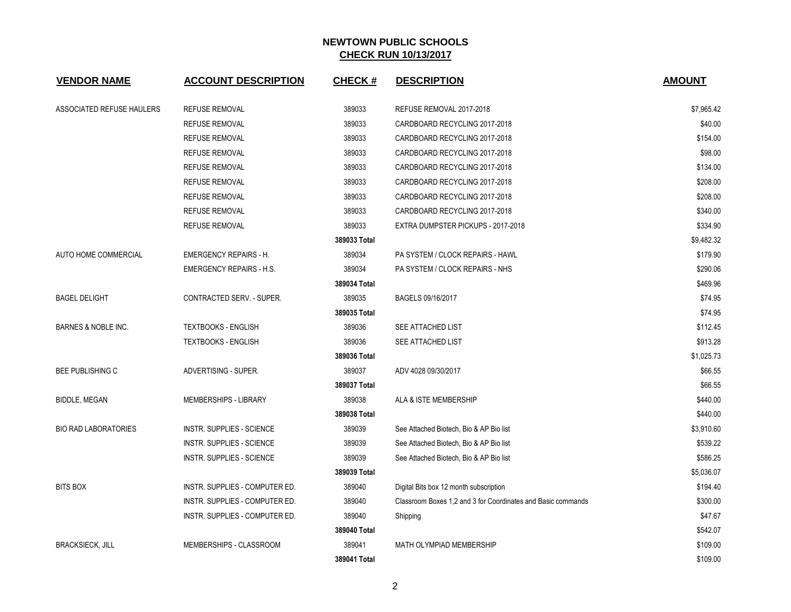| <b>VENDOR NAME</b>          | <b>ACCOUNT DESCRIPTION</b>       | <b>CHECK#</b> | <b>DESCRIPTION</b>                                           | <b>AMOUNT</b> |
|-----------------------------|----------------------------------|---------------|--------------------------------------------------------------|---------------|
| ASSOCIATED REFUSE HAULERS   | <b>REFUSE REMOVAL</b>            | 389033        | REFUSE REMOVAL 2017-2018                                     | \$7,965.42    |
|                             | <b>REFUSE REMOVAL</b>            | 389033        | CARDBOARD RECYCLING 2017-2018                                | \$40.00       |
|                             | <b>REFUSE REMOVAL</b>            | 389033        | CARDBOARD RECYCLING 2017-2018                                | \$154.00      |
|                             | <b>REFUSE REMOVAL</b>            | 389033        | CARDBOARD RECYCLING 2017-2018                                | \$98.00       |
|                             | <b>REFUSE REMOVAL</b>            | 389033        | CARDBOARD RECYCLING 2017-2018                                | \$134.00      |
|                             | <b>REFUSE REMOVAL</b>            | 389033        | CARDBOARD RECYCLING 2017-2018                                | \$208.00      |
|                             | <b>REFUSE REMOVAL</b>            | 389033        | CARDBOARD RECYCLING 2017-2018                                | \$208.00      |
|                             | <b>REFUSE REMOVAL</b>            | 389033        | CARDBOARD RECYCLING 2017-2018                                | \$340.00      |
|                             | <b>REFUSE REMOVAL</b>            | 389033        | EXTRA DUMPSTER PICKUPS - 2017-2018                           | \$334.90      |
|                             |                                  | 389033 Total  |                                                              | \$9,482.32    |
| AUTO HOME COMMERCIAL        | <b>EMERGENCY REPAIRS - H.</b>    | 389034        | PA SYSTEM / CLOCK REPAIRS - HAWL                             | \$179.90      |
|                             | <b>EMERGENCY REPAIRS - H.S.</b>  | 389034        | PA SYSTEM / CLOCK REPAIRS - NHS                              | \$290.06      |
|                             |                                  | 389034 Total  |                                                              | \$469.96      |
| <b>BAGEL DELIGHT</b>        | CONTRACTED SERV. - SUPER.        | 389035        | BAGELS 09/16/2017                                            | \$74.95       |
|                             |                                  | 389035 Total  |                                                              | \$74.95       |
| BARNES & NOBLE INC.         | <b>TEXTBOOKS - ENGLISH</b>       | 389036        | SEE ATTACHED LIST                                            | \$112.45      |
|                             | <b>TEXTBOOKS - ENGLISH</b>       | 389036        | SEE ATTACHED LIST                                            | \$913.28      |
|                             |                                  | 389036 Total  |                                                              | \$1,025.73    |
| <b>BEE PUBLISHING C</b>     | ADVERTISING - SUPER.             | 389037        | ADV 4028 09/30/2017                                          | \$66.55       |
|                             |                                  | 389037 Total  |                                                              | \$66.55       |
| <b>BIDDLE, MEGAN</b>        | <b>MEMBERSHIPS - LIBRARY</b>     | 389038        | ALA & ISTE MEMBERSHIP                                        | \$440.00      |
|                             |                                  | 389038 Total  |                                                              | \$440.00      |
| <b>BIO RAD LABORATORIES</b> | <b>INSTR. SUPPLIES - SCIENCE</b> | 389039        | See Attached Biotech, Bio & AP Bio list                      | \$3,910.60    |
|                             | <b>INSTR. SUPPLIES - SCIENCE</b> | 389039        | See Attached Biotech, Bio & AP Bio list                      | \$539.22      |
|                             | <b>INSTR. SUPPLIES - SCIENCE</b> | 389039        | See Attached Biotech, Bio & AP Bio list                      | \$586.25      |
|                             |                                  | 389039 Total  |                                                              | \$5,036.07    |
| <b>BITS BOX</b>             | INSTR. SUPPLIES - COMPUTER ED.   | 389040        | Digital Bits box 12 month subscription                       | \$194.40      |
|                             | INSTR. SUPPLIES - COMPUTER ED.   | 389040        | Classroom Boxes 1.2 and 3 for Coordinates and Basic commands | \$300.00      |
|                             | INSTR. SUPPLIES - COMPUTER ED.   | 389040        | Shipping                                                     | \$47.67       |
|                             |                                  | 389040 Total  |                                                              | \$542.07      |
| <b>BRACKSIECK, JILL</b>     | MEMBERSHIPS - CLASSROOM          | 389041        | MATH OLYMPIAD MEMBERSHIP                                     | \$109.00      |
|                             |                                  | 389041 Total  |                                                              | \$109.00      |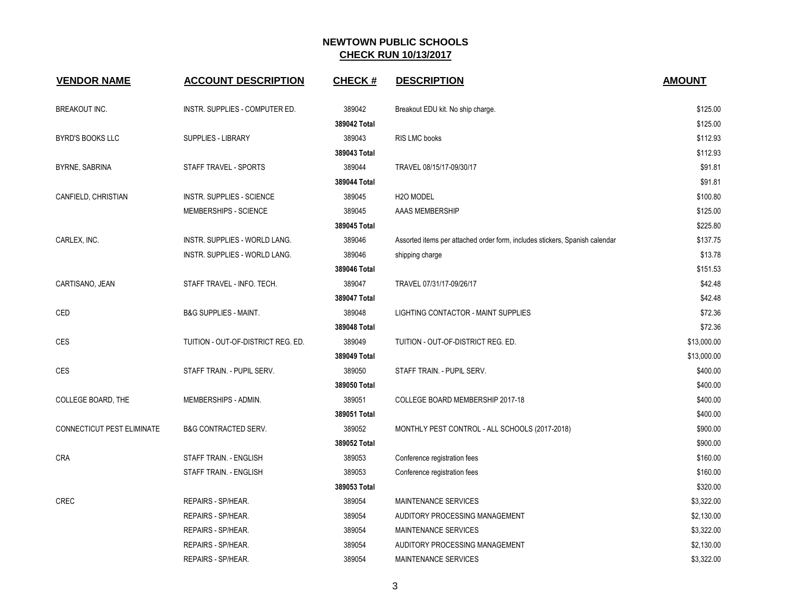| <b>VENDOR NAME</b>         | <b>ACCOUNT DESCRIPTION</b>         | <b>CHECK#</b> | <b>DESCRIPTION</b>                                                          | <b>AMOUNT</b> |
|----------------------------|------------------------------------|---------------|-----------------------------------------------------------------------------|---------------|
| <b>BREAKOUT INC.</b>       | INSTR. SUPPLIES - COMPUTER ED.     | 389042        | Breakout EDU kit. No ship charge.                                           | \$125.00      |
|                            |                                    | 389042 Total  |                                                                             | \$125.00      |
| <b>BYRD'S BOOKS LLC</b>    | <b>SUPPLIES - LIBRARY</b>          | 389043        | RIS LMC books                                                               | \$112.93      |
|                            |                                    | 389043 Total  |                                                                             | \$112.93      |
| <b>BYRNE, SABRINA</b>      | STAFF TRAVEL - SPORTS              | 389044        | TRAVEL 08/15/17-09/30/17                                                    | \$91.81       |
|                            |                                    | 389044 Total  |                                                                             | \$91.81       |
| CANFIELD, CHRISTIAN        | <b>INSTR. SUPPLIES - SCIENCE</b>   | 389045        | H <sub>20</sub> MODEL                                                       | \$100.80      |
|                            | MEMBERSHIPS - SCIENCE              | 389045        | AAAS MEMBERSHIP                                                             | \$125.00      |
|                            |                                    | 389045 Total  |                                                                             | \$225.80      |
| CARLEX, INC.               | INSTR. SUPPLIES - WORLD LANG.      | 389046        | Assorted items per attached order form, includes stickers, Spanish calendar | \$137.75      |
|                            | INSTR. SUPPLIES - WORLD LANG.      | 389046        | shipping charge                                                             | \$13.78       |
|                            |                                    | 389046 Total  |                                                                             | \$151.53      |
| CARTISANO, JEAN            | STAFF TRAVEL - INFO. TECH.         | 389047        | TRAVEL 07/31/17-09/26/17                                                    | \$42.48       |
|                            |                                    | 389047 Total  |                                                                             | \$42.48       |
| CED                        | <b>B&amp;G SUPPLIES - MAINT.</b>   | 389048        | LIGHTING CONTACTOR - MAINT SUPPLIES                                         | \$72.36       |
|                            |                                    | 389048 Total  |                                                                             | \$72.36       |
| <b>CES</b>                 | TUITION - OUT-OF-DISTRICT REG. ED. | 389049        | TUITION - OUT-OF-DISTRICT REG. ED.                                          | \$13,000.00   |
|                            |                                    | 389049 Total  |                                                                             | \$13,000.00   |
| <b>CES</b>                 | STAFF TRAIN. - PUPIL SERV.         | 389050        | STAFF TRAIN. - PUPIL SERV.                                                  | \$400.00      |
|                            |                                    | 389050 Total  |                                                                             | \$400.00      |
| COLLEGE BOARD, THE         | MEMBERSHIPS - ADMIN.               | 389051        | COLLEGE BOARD MEMBERSHIP 2017-18                                            | \$400.00      |
|                            |                                    | 389051 Total  |                                                                             | \$400.00      |
| CONNECTICUT PEST ELIMINATE | B&G CONTRACTED SERV.               | 389052        | MONTHLY PEST CONTROL - ALL SCHOOLS (2017-2018)                              | \$900.00      |
|                            |                                    | 389052 Total  |                                                                             | \$900.00      |
| <b>CRA</b>                 | STAFF TRAIN. - ENGLISH             | 389053        | Conference registration fees                                                | \$160.00      |
|                            | STAFF TRAIN. - ENGLISH             | 389053        | Conference registration fees                                                | \$160.00      |
|                            |                                    | 389053 Total  |                                                                             | \$320.00      |
| <b>CREC</b>                | REPAIRS - SP/HEAR.                 | 389054        | <b>MAINTENANCE SERVICES</b>                                                 | \$3,322.00    |
|                            | REPAIRS - SP/HEAR.                 | 389054        | AUDITORY PROCESSING MANAGEMENT                                              | \$2,130.00    |
|                            | REPAIRS - SP/HEAR.                 | 389054        | <b>MAINTENANCE SERVICES</b>                                                 | \$3,322.00    |
|                            | REPAIRS - SP/HEAR.                 | 389054        | AUDITORY PROCESSING MANAGEMENT                                              | \$2,130.00    |
|                            | REPAIRS - SP/HEAR.                 | 389054        | <b>MAINTENANCE SERVICES</b>                                                 | \$3,322.00    |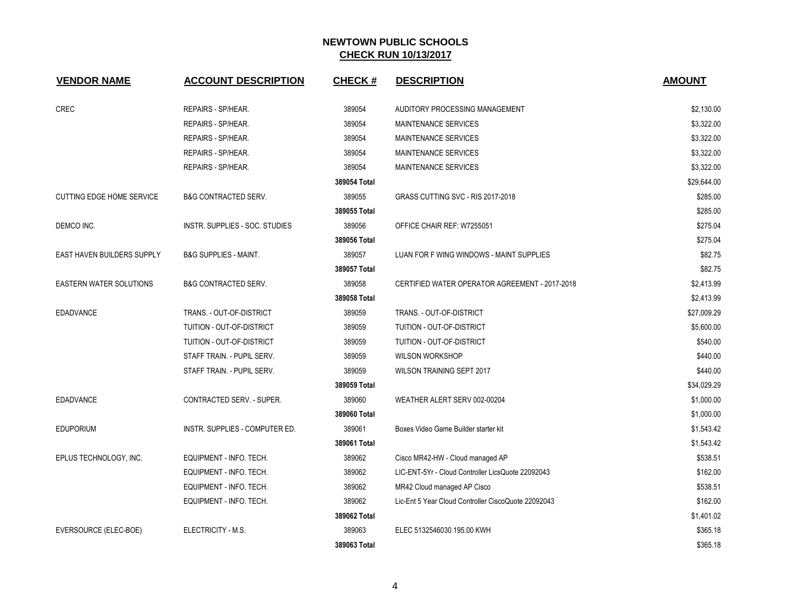| <b>VENDOR NAME</b>                | <b>ACCOUNT DESCRIPTION</b>       | <b>CHECK#</b> | <b>DESCRIPTION</b>                                  | <b>AMOUNT</b> |
|-----------------------------------|----------------------------------|---------------|-----------------------------------------------------|---------------|
| CREC                              | REPAIRS - SP/HEAR.               | 389054        | AUDITORY PROCESSING MANAGEMENT                      | \$2,130.00    |
|                                   | REPAIRS - SP/HEAR.               | 389054        | MAINTENANCE SERVICES                                | \$3,322.00    |
|                                   | REPAIRS - SP/HEAR.               | 389054        | <b>MAINTENANCE SERVICES</b>                         | \$3,322.00    |
|                                   | REPAIRS - SP/HEAR.               | 389054        | <b>MAINTENANCE SERVICES</b>                         | \$3,322.00    |
|                                   | REPAIRS - SP/HEAR.               | 389054        | <b>MAINTENANCE SERVICES</b>                         | \$3,322.00    |
|                                   |                                  | 389054 Total  |                                                     | \$29,644.00   |
| <b>CUTTING EDGE HOME SERVICE</b>  | <b>B&amp;G CONTRACTED SERV.</b>  | 389055        | GRASS CUTTING SVC - RIS 2017-2018                   | \$285.00      |
|                                   |                                  | 389055 Total  |                                                     | \$285.00      |
| DEMCO INC.                        | INSTR. SUPPLIES - SOC. STUDIES   | 389056        | OFFICE CHAIR REF: W7255051                          | \$275.04      |
|                                   |                                  | 389056 Total  |                                                     | \$275.04      |
| <b>EAST HAVEN BUILDERS SUPPLY</b> | <b>B&amp;G SUPPLIES - MAINT.</b> | 389057        | LUAN FOR F WING WINDOWS - MAINT SUPPLIES            | \$82.75       |
|                                   |                                  | 389057 Total  |                                                     | \$82.75       |
| EASTERN WATER SOLUTIONS           | <b>B&amp;G CONTRACTED SERV.</b>  | 389058        | CERTIFIED WATER OPERATOR AGREEMENT - 2017-2018      | \$2,413.99    |
|                                   |                                  | 389058 Total  |                                                     | \$2,413.99    |
| <b>EDADVANCE</b>                  | TRANS. - OUT-OF-DISTRICT         | 389059        | TRANS. - OUT-OF-DISTRICT                            | \$27,009.29   |
|                                   | TUITION - OUT-OF-DISTRICT        | 389059        | TUITION - OUT-OF-DISTRICT                           | \$5,600.00    |
|                                   | TUITION - OUT-OF-DISTRICT        | 389059        | TUITION - OUT-OF-DISTRICT                           | \$540.00      |
|                                   | STAFF TRAIN. - PUPIL SERV.       | 389059        | <b>WILSON WORKSHOP</b>                              | \$440.00      |
|                                   | STAFF TRAIN. - PUPIL SERV.       | 389059        | WILSON TRAINING SEPT 2017                           | \$440.00      |
|                                   |                                  | 389059 Total  |                                                     | \$34,029.29   |
| <b>EDADVANCE</b>                  | CONTRACTED SERV. - SUPER.        | 389060        | WEATHER ALERT SERV 002-00204                        | \$1,000.00    |
|                                   |                                  | 389060 Total  |                                                     | \$1,000.00    |
| <b>EDUPORIUM</b>                  | INSTR. SUPPLIES - COMPUTER ED.   | 389061        | Boxes Video Game Builder starter kit                | \$1,543.42    |
|                                   |                                  | 389061 Total  |                                                     | \$1,543.42    |
| EPLUS TECHNOLOGY, INC.            | EQUIPMENT - INFO. TECH.          | 389062        | Cisco MR42-HW - Cloud managed AP                    | \$538.51      |
|                                   | EQUIPMENT - INFO. TECH.          | 389062        | LIC-ENT-5Yr - Cloud Controller LicsQuote 22092043   | \$162.00      |
|                                   | EQUIPMENT - INFO. TECH.          | 389062        | MR42 Cloud managed AP Cisco                         | \$538.51      |
|                                   | EQUIPMENT - INFO. TECH.          | 389062        | Lic-Ent 5 Year Cloud Controller CiscoQuote 22092043 | \$162.00      |
|                                   |                                  | 389062 Total  |                                                     | \$1,401.02    |
| EVERSOURCE (ELEC-BOE)             | ELECTRICITY - M.S.               | 389063        | ELEC 5132546030 195.00 KWH                          | \$365.18      |
|                                   |                                  | 389063 Total  |                                                     | \$365.18      |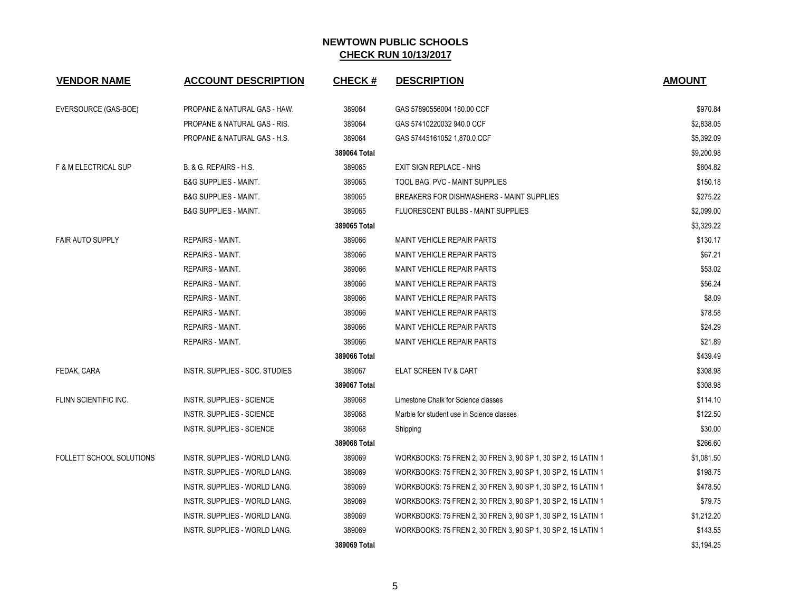| <b>VENDOR NAME</b>              | <b>ACCOUNT DESCRIPTION</b>           | <b>CHECK#</b> | <b>DESCRIPTION</b>                                            | <b>AMOUNT</b> |
|---------------------------------|--------------------------------------|---------------|---------------------------------------------------------------|---------------|
| EVERSOURCE (GAS-BOE)            | PROPANE & NATURAL GAS - HAW.         | 389064        | GAS 57890556004 180.00 CCF                                    | \$970.84      |
|                                 | PROPANE & NATURAL GAS - RIS.         | 389064        | GAS 57410220032 940.0 CCF                                     | \$2,838.05    |
|                                 | PROPANE & NATURAL GAS - H.S.         | 389064        | GAS 57445161052 1,870.0 CCF                                   | \$5,392.09    |
|                                 |                                      | 389064 Total  |                                                               | \$9,200.98    |
| <b>F &amp; M ELECTRICAL SUP</b> | B. & G. REPAIRS - H.S.               | 389065        | <b>EXIT SIGN REPLACE - NHS</b>                                | \$804.82      |
|                                 | <b>B&amp;G SUPPLIES - MAINT.</b>     | 389065        | TOOL BAG, PVC - MAINT SUPPLIES                                | \$150.18      |
|                                 | <b>B&amp;G SUPPLIES - MAINT.</b>     | 389065        | BREAKERS FOR DISHWASHERS - MAINT SUPPLIES                     | \$275.22      |
|                                 | <b>B&amp;G SUPPLIES - MAINT.</b>     | 389065        | FLUORESCENT BULBS - MAINT SUPPLIES                            | \$2,099.00    |
|                                 |                                      | 389065 Total  |                                                               | \$3,329.22    |
| <b>FAIR AUTO SUPPLY</b>         | REPAIRS - MAINT.                     | 389066        | <b>MAINT VEHICLE REPAIR PARTS</b>                             | \$130.17      |
|                                 | <b>REPAIRS - MAINT.</b>              | 389066        | <b>MAINT VEHICLE REPAIR PARTS</b>                             | \$67.21       |
|                                 | <b>REPAIRS - MAINT.</b>              | 389066        | MAINT VEHICLE REPAIR PARTS                                    | \$53.02       |
|                                 | <b>REPAIRS - MAINT.</b>              | 389066        | <b>MAINT VEHICLE REPAIR PARTS</b>                             | \$56.24       |
|                                 | <b>REPAIRS - MAINT.</b>              | 389066        | <b>MAINT VEHICLE REPAIR PARTS</b>                             | \$8.09        |
|                                 | <b>REPAIRS - MAINT.</b>              | 389066        | <b>MAINT VEHICLE REPAIR PARTS</b>                             | \$78.58       |
|                                 | <b>REPAIRS - MAINT.</b>              | 389066        | MAINT VEHICLE REPAIR PARTS                                    | \$24.29       |
|                                 | <b>REPAIRS - MAINT.</b>              | 389066        | <b>MAINT VEHICLE REPAIR PARTS</b>                             | \$21.89       |
|                                 |                                      | 389066 Total  |                                                               | \$439.49      |
| FEDAK, CARA                     | INSTR. SUPPLIES - SOC. STUDIES       | 389067        | ELAT SCREEN TV & CART                                         | \$308.98      |
|                                 |                                      | 389067 Total  |                                                               | \$308.98      |
| FLINN SCIENTIFIC INC.           | <b>INSTR. SUPPLIES - SCIENCE</b>     | 389068        | Limestone Chalk for Science classes                           | \$114.10      |
|                                 | <b>INSTR. SUPPLIES - SCIENCE</b>     | 389068        | Marble for student use in Science classes                     | \$122.50      |
|                                 | <b>INSTR. SUPPLIES - SCIENCE</b>     | 389068        | Shipping                                                      | \$30.00       |
|                                 |                                      | 389068 Total  |                                                               | \$266.60      |
| FOLLETT SCHOOL SOLUTIONS        | INSTR. SUPPLIES - WORLD LANG.        | 389069        | WORKBOOKS: 75 FREN 2, 30 FREN 3, 90 SP 1, 30 SP 2, 15 LATIN 1 | \$1,081.50    |
|                                 | INSTR. SUPPLIES - WORLD LANG.        | 389069        | WORKBOOKS: 75 FREN 2, 30 FREN 3, 90 SP 1, 30 SP 2, 15 LATIN 1 | \$198.75      |
|                                 | INSTR. SUPPLIES - WORLD LANG.        | 389069        | WORKBOOKS: 75 FREN 2, 30 FREN 3, 90 SP 1, 30 SP 2, 15 LATIN 1 | \$478.50      |
|                                 | INSTR. SUPPLIES - WORLD LANG.        | 389069        | WORKBOOKS: 75 FREN 2, 30 FREN 3, 90 SP 1, 30 SP 2, 15 LATIN 1 | \$79.75       |
|                                 | <b>INSTR. SUPPLIES - WORLD LANG.</b> | 389069        | WORKBOOKS: 75 FREN 2, 30 FREN 3, 90 SP 1, 30 SP 2, 15 LATIN 1 | \$1,212.20    |
|                                 | INSTR. SUPPLIES - WORLD LANG.        | 389069        | WORKBOOKS: 75 FREN 2, 30 FREN 3, 90 SP 1, 30 SP 2, 15 LATIN 1 | \$143.55      |
|                                 |                                      | 389069 Total  |                                                               | \$3,194.25    |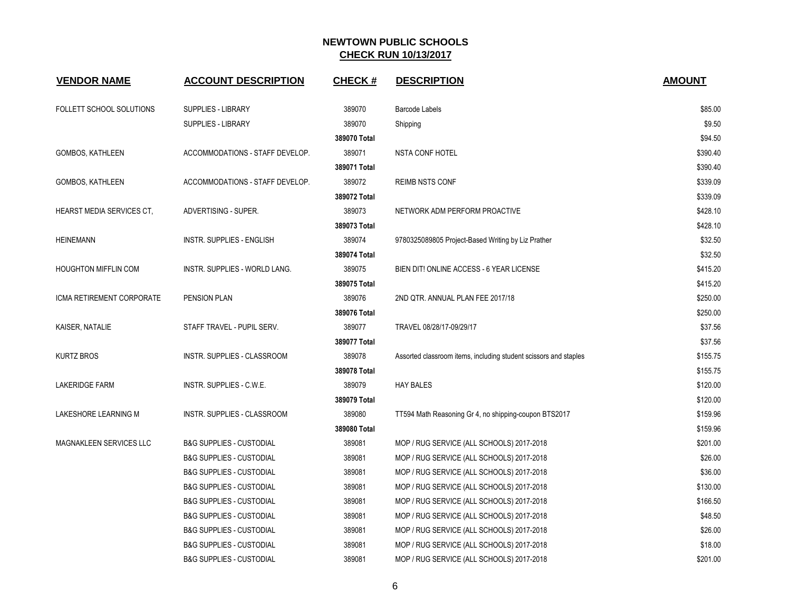| <b>VENDOR NAME</b>          | <b>ACCOUNT DESCRIPTION</b>          | <b>CHECK#</b> | <b>DESCRIPTION</b>                                               | <b>AMOUNT</b> |
|-----------------------------|-------------------------------------|---------------|------------------------------------------------------------------|---------------|
| FOLLETT SCHOOL SOLUTIONS    | <b>SUPPLIES - LIBRARY</b>           | 389070        | <b>Barcode Labels</b>                                            | \$85.00       |
|                             | SUPPLIES - LIBRARY                  | 389070        | Shipping                                                         | \$9.50        |
|                             |                                     | 389070 Total  |                                                                  | \$94.50       |
| GOMBOS, KATHLEEN            | ACCOMMODATIONS - STAFF DEVELOP.     | 389071        | <b>NSTA CONF HOTEL</b>                                           | \$390.40      |
|                             |                                     | 389071 Total  |                                                                  | \$390.40      |
| GOMBOS, KATHLEEN            | ACCOMMODATIONS - STAFF DEVELOP.     | 389072        | REIMB NSTS CONF                                                  | \$339.09      |
|                             |                                     | 389072 Total  |                                                                  | \$339.09      |
| HEARST MEDIA SERVICES CT,   | ADVERTISING - SUPER.                | 389073        | NETWORK ADM PERFORM PROACTIVE                                    | \$428.10      |
|                             |                                     | 389073 Total  |                                                                  | \$428.10      |
| <b>HEINEMANN</b>            | <b>INSTR. SUPPLIES - ENGLISH</b>    | 389074        | 9780325089805 Project-Based Writing by Liz Prather               | \$32.50       |
|                             |                                     | 389074 Total  |                                                                  | \$32.50       |
| <b>HOUGHTON MIFFLIN COM</b> | INSTR. SUPPLIES - WORLD LANG.       | 389075        | BIEN DIT! ONLINE ACCESS - 6 YEAR LICENSE                         | \$415.20      |
|                             |                                     | 389075 Total  |                                                                  | \$415.20      |
| ICMA RETIREMENT CORPORATE   | PENSION PLAN                        | 389076        | 2ND QTR. ANNUAL PLAN FEE 2017/18                                 | \$250.00      |
|                             |                                     | 389076 Total  |                                                                  | \$250.00      |
| KAISER, NATALIE             | STAFF TRAVEL - PUPIL SERV.          | 389077        | TRAVEL 08/28/17-09/29/17                                         | \$37.56       |
|                             |                                     | 389077 Total  |                                                                  | \$37.56       |
| <b>KURTZ BROS</b>           | INSTR. SUPPLIES - CLASSROOM         | 389078        | Assorted classroom items, including student scissors and staples | \$155.75      |
|                             |                                     | 389078 Total  |                                                                  | \$155.75      |
| <b>LAKERIDGE FARM</b>       | INSTR. SUPPLIES - C.W.E.            | 389079        | <b>HAY BALES</b>                                                 | \$120.00      |
|                             |                                     | 389079 Total  |                                                                  | \$120.00      |
| LAKESHORE LEARNING M        | INSTR. SUPPLIES - CLASSROOM         | 389080        | TT594 Math Reasoning Gr 4, no shipping-coupon BTS2017            | \$159.96      |
|                             |                                     | 389080 Total  |                                                                  | \$159.96      |
| MAGNAKLEEN SERVICES LLC     | <b>B&amp;G SUPPLIES - CUSTODIAL</b> | 389081        | MOP / RUG SERVICE (ALL SCHOOLS) 2017-2018                        | \$201.00      |
|                             | <b>B&amp;G SUPPLIES - CUSTODIAL</b> | 389081        | MOP / RUG SERVICE (ALL SCHOOLS) 2017-2018                        | \$26.00       |
|                             | <b>B&amp;G SUPPLIES - CUSTODIAL</b> | 389081        | MOP / RUG SERVICE (ALL SCHOOLS) 2017-2018                        | \$36.00       |
|                             | <b>B&amp;G SUPPLIES - CUSTODIAL</b> | 389081        | MOP / RUG SERVICE (ALL SCHOOLS) 2017-2018                        | \$130.00      |
|                             | <b>B&amp;G SUPPLIES - CUSTODIAL</b> | 389081        | MOP / RUG SERVICE (ALL SCHOOLS) 2017-2018                        | \$166.50      |
|                             | <b>B&amp;G SUPPLIES - CUSTODIAL</b> | 389081        | MOP / RUG SERVICE (ALL SCHOOLS) 2017-2018                        | \$48.50       |
|                             | <b>B&amp;G SUPPLIES - CUSTODIAL</b> | 389081        | MOP / RUG SERVICE (ALL SCHOOLS) 2017-2018                        | \$26.00       |
|                             | <b>B&amp;G SUPPLIES - CUSTODIAL</b> | 389081        | MOP / RUG SERVICE (ALL SCHOOLS) 2017-2018                        | \$18.00       |
|                             | <b>B&amp;G SUPPLIES - CUSTODIAL</b> | 389081        | MOP / RUG SERVICE (ALL SCHOOLS) 2017-2018                        | \$201.00      |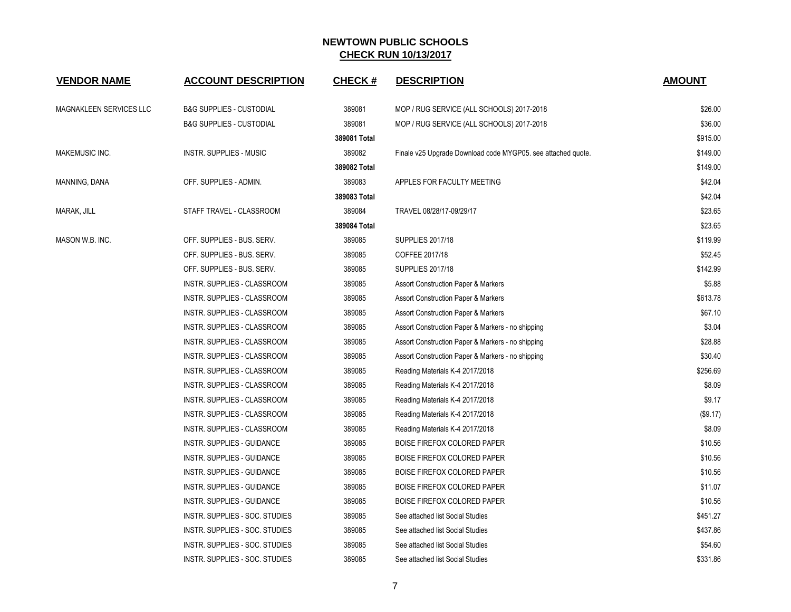| <b>VENDOR NAME</b>      | <b>ACCOUNT DESCRIPTION</b>          | <b>CHECK#</b> | <b>DESCRIPTION</b>                                           | <b>AMOUNT</b> |
|-------------------------|-------------------------------------|---------------|--------------------------------------------------------------|---------------|
| MAGNAKLEEN SERVICES LLC | <b>B&amp;G SUPPLIES - CUSTODIAL</b> | 389081        | MOP / RUG SERVICE (ALL SCHOOLS) 2017-2018                    | \$26.00       |
|                         | <b>B&amp;G SUPPLIES - CUSTODIAL</b> | 389081        | MOP / RUG SERVICE (ALL SCHOOLS) 2017-2018                    | \$36.00       |
|                         |                                     | 389081 Total  |                                                              | \$915.00      |
| MAKEMUSIC INC.          | INSTR. SUPPLIES - MUSIC             | 389082        | Finale v25 Upgrade Download code MYGP05. see attached quote. | \$149.00      |
|                         |                                     | 389082 Total  |                                                              | \$149.00      |
| MANNING, DANA           | OFF. SUPPLIES - ADMIN.              | 389083        | APPLES FOR FACULTY MEETING                                   | \$42.04       |
|                         |                                     | 389083 Total  |                                                              | \$42.04       |
| MARAK, JILL             | STAFF TRAVEL - CLASSROOM            | 389084        | TRAVEL 08/28/17-09/29/17                                     | \$23.65       |
|                         |                                     | 389084 Total  |                                                              | \$23.65       |
| MASON W.B. INC.         | OFF. SUPPLIES - BUS. SERV.          | 389085        | <b>SUPPLIES 2017/18</b>                                      | \$119.99      |
|                         | OFF. SUPPLIES - BUS. SERV.          | 389085        | COFFEE 2017/18                                               | \$52.45       |
|                         | OFF. SUPPLIES - BUS. SERV.          | 389085        | <b>SUPPLIES 2017/18</b>                                      | \$142.99      |
|                         | INSTR. SUPPLIES - CLASSROOM         | 389085        | <b>Assort Construction Paper &amp; Markers</b>               | \$5.88        |
|                         | INSTR. SUPPLIES - CLASSROOM         | 389085        | <b>Assort Construction Paper &amp; Markers</b>               | \$613.78      |
|                         | INSTR. SUPPLIES - CLASSROOM         | 389085        | <b>Assort Construction Paper &amp; Markers</b>               | \$67.10       |
|                         | INSTR. SUPPLIES - CLASSROOM         | 389085        | Assort Construction Paper & Markers - no shipping            | \$3.04        |
|                         | INSTR. SUPPLIES - CLASSROOM         | 389085        | Assort Construction Paper & Markers - no shipping            | \$28.88       |
|                         | INSTR. SUPPLIES - CLASSROOM         | 389085        | Assort Construction Paper & Markers - no shipping            | \$30.40       |
|                         | INSTR. SUPPLIES - CLASSROOM         | 389085        | Reading Materials K-4 2017/2018                              | \$256.69      |
|                         | INSTR. SUPPLIES - CLASSROOM         | 389085        | Reading Materials K-4 2017/2018                              | \$8.09        |
|                         | INSTR. SUPPLIES - CLASSROOM         | 389085        | Reading Materials K-4 2017/2018                              | \$9.17        |
|                         | INSTR. SUPPLIES - CLASSROOM         | 389085        | Reading Materials K-4 2017/2018                              | (\$9.17)      |
|                         | INSTR. SUPPLIES - CLASSROOM         | 389085        | Reading Materials K-4 2017/2018                              | \$8.09        |
|                         | INSTR. SUPPLIES - GUIDANCE          | 389085        | <b>BOISE FIREFOX COLORED PAPER</b>                           | \$10.56       |
|                         | INSTR. SUPPLIES - GUIDANCE          | 389085        | BOISE FIREFOX COLORED PAPER                                  | \$10.56       |
|                         | INSTR. SUPPLIES - GUIDANCE          | 389085        | BOISE FIREFOX COLORED PAPER                                  | \$10.56       |
|                         | INSTR. SUPPLIES - GUIDANCE          | 389085        | <b>BOISE FIREFOX COLORED PAPER</b>                           | \$11.07       |
|                         | INSTR. SUPPLIES - GUIDANCE          | 389085        | BOISE FIREFOX COLORED PAPER                                  | \$10.56       |
|                         | INSTR. SUPPLIES - SOC. STUDIES      | 389085        | See attached list Social Studies                             | \$451.27      |
|                         | INSTR. SUPPLIES - SOC. STUDIES      | 389085        | See attached list Social Studies                             | \$437.86      |
|                         | INSTR. SUPPLIES - SOC. STUDIES      | 389085        | See attached list Social Studies                             | \$54.60       |
|                         | INSTR. SUPPLIES - SOC. STUDIES      | 389085        | See attached list Social Studies                             | \$331.86      |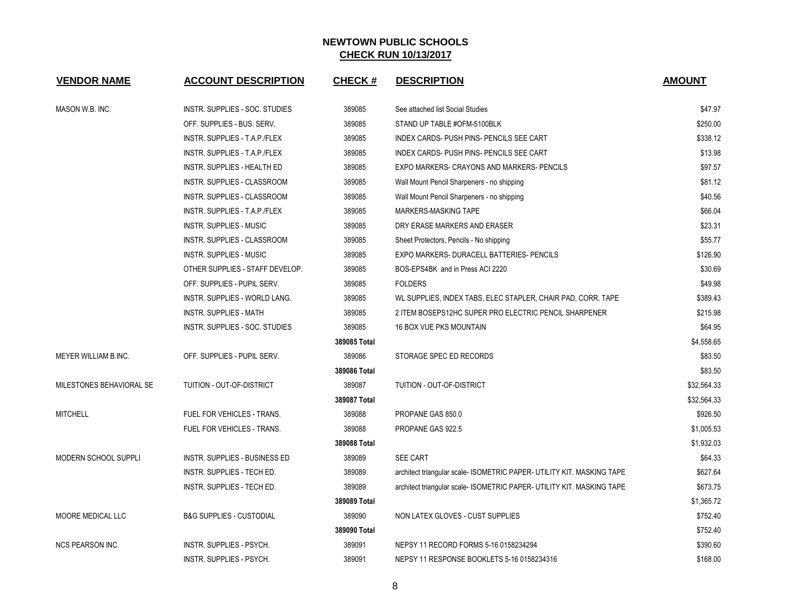| <b>VENDOR NAME</b>       | <b>ACCOUNT DESCRIPTION</b>          | <b>CHECK#</b> | <b>DESCRIPTION</b>                                                     | <b>AMOUNT</b> |
|--------------------------|-------------------------------------|---------------|------------------------------------------------------------------------|---------------|
| MASON W.B. INC.          | INSTR. SUPPLIES - SOC. STUDIES      | 389085        | See attached list Social Studies                                       | \$47.97       |
|                          | OFF. SUPPLIES - BUS. SERV.          | 389085        | STAND UP TABLE #OFM-5100BLK                                            | \$250.00      |
|                          | INSTR. SUPPLIES - T.A.P./FLEX       | 389085        | INDEX CARDS- PUSH PINS- PENCILS SEE CART                               | \$338.12      |
|                          | INSTR. SUPPLIES - T.A.P./FLEX       | 389085        | INDEX CARDS- PUSH PINS- PENCILS SEE CART                               | \$13.98       |
|                          | INSTR. SUPPLIES - HEALTH ED         | 389085        | EXPO MARKERS- CRAYONS AND MARKERS- PENCILS                             | \$97.57       |
|                          | INSTR. SUPPLIES - CLASSROOM         | 389085        | Wall Mount Pencil Sharpeners - no shipping                             | \$81.12       |
|                          | INSTR. SUPPLIES - CLASSROOM         | 389085        | Wall Mount Pencil Sharpeners - no shipping                             | \$40.56       |
|                          | INSTR. SUPPLIES - T.A.P./FLEX       | 389085        | MARKERS-MASKING TAPE                                                   | \$66.04       |
|                          | <b>INSTR. SUPPLIES - MUSIC</b>      | 389085        | DRY ERASE MARKERS AND ERASER                                           | \$23.31       |
|                          | INSTR. SUPPLIES - CLASSROOM         | 389085        | Sheet Protectors, Pencils - No shipping                                | \$55.77       |
|                          | <b>INSTR. SUPPLIES - MUSIC</b>      | 389085        | EXPO MARKERS- DURACELL BATTERIES- PENCILS                              | \$126.90      |
|                          | OTHER SUPPLIES - STAFF DEVELOP.     | 389085        | BOS-EPS4BK and in Press ACI 2220                                       | \$30.69       |
|                          | OFF. SUPPLIES - PUPIL SERV.         | 389085        | <b>FOLDERS</b>                                                         | \$49.98       |
|                          | INSTR. SUPPLIES - WORLD LANG.       | 389085        | WL SUPPLIES, INDEX TABS, ELEC STAPLER, CHAIR PAD, CORR. TAPE           | \$389.43      |
|                          | <b>INSTR. SUPPLIES - MATH</b>       | 389085        | 2 ITEM BOSEPS12HC SUPER PRO ELECTRIC PENCIL SHARPENER                  | \$215.98      |
|                          | INSTR. SUPPLIES - SOC. STUDIES      | 389085        | <b>16 BOX VUE PKS MOUNTAIN</b>                                         | \$64.95       |
|                          |                                     | 389085 Total  |                                                                        | \$4,558.65    |
| MEYER WILLIAM B.INC.     | OFF. SUPPLIES - PUPIL SERV.         | 389086        | STORAGE SPEC ED RECORDS                                                | \$83.50       |
|                          |                                     | 389086 Total  |                                                                        | \$83.50       |
| MILESTONES BEHAVIORAL SE | TUITION - OUT-OF-DISTRICT           | 389087        | TUITION - OUT-OF-DISTRICT                                              | \$32,564.33   |
|                          |                                     | 389087 Total  |                                                                        | \$32,564.33   |
| <b>MITCHELL</b>          | <b>FUEL FOR VEHICLES - TRANS.</b>   | 389088        | PROPANE GAS 850.0                                                      | \$926.50      |
|                          | FUEL FOR VEHICLES - TRANS.          | 389088        | PROPANE GAS 922.5                                                      | \$1,005.53    |
|                          |                                     | 389088 Total  |                                                                        | \$1,932.03    |
| MODERN SCHOOL SUPPLI     | INSTR. SUPPLIES - BUSINESS ED       | 389089        | <b>SEE CART</b>                                                        | \$64.33       |
|                          | INSTR. SUPPLIES - TECH ED.          | 389089        | architect triangular scale- ISOMETRIC PAPER- UTILITY KIT. MASKING TAPE | \$627.64      |
|                          | INSTR. SUPPLIES - TECH ED.          | 389089        | architect triangular scale- ISOMETRIC PAPER- UTILITY KIT. MASKING TAPE | \$673.75      |
|                          |                                     | 389089 Total  |                                                                        | \$1,365.72    |
| MOORE MEDICAL LLC        | <b>B&amp;G SUPPLIES - CUSTODIAL</b> | 389090        | NON LATEX GLOVES - CUST SUPPLIES                                       | \$752.40      |
|                          |                                     | 389090 Total  |                                                                        | \$752.40      |
| <b>NCS PEARSON INC.</b>  | <b>INSTR. SUPPLIES - PSYCH.</b>     | 389091        | NEPSY 11 RECORD FORMS 5-16 0158234294                                  | \$390.60      |
|                          | INSTR. SUPPLIES - PSYCH.            | 389091        | NEPSY 11 RESPONSE BOOKLETS 5-16 0158234316                             | \$168.00      |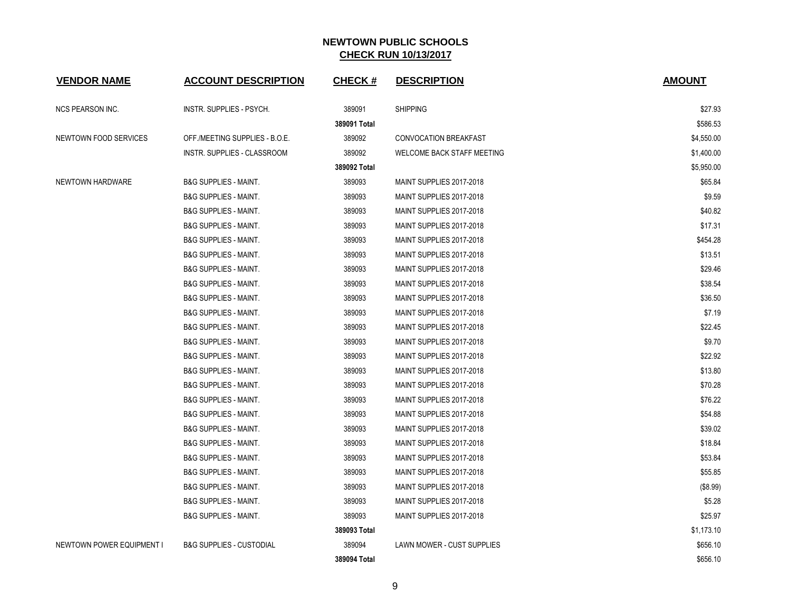| <b>VENDOR NAME</b>        | <b>ACCOUNT DESCRIPTION</b>          | <b>CHECK#</b> | <b>DESCRIPTION</b>           | <b>AMOUNT</b> |
|---------------------------|-------------------------------------|---------------|------------------------------|---------------|
| <b>NCS PEARSON INC.</b>   | INSTR. SUPPLIES - PSYCH.            | 389091        | <b>SHIPPING</b>              | \$27.93       |
|                           |                                     | 389091 Total  |                              | \$586.53      |
| NEWTOWN FOOD SERVICES     | OFF /MEETING SUPPLIES - B.O.E.      | 389092        | <b>CONVOCATION BREAKFAST</b> | \$4,550.00    |
|                           | INSTR. SUPPLIES - CLASSROOM         | 389092        | WELCOME BACK STAFF MEETING   | \$1,400.00    |
|                           |                                     | 389092 Total  |                              | \$5,950.00    |
| NEWTOWN HARDWARE          | <b>B&amp;G SUPPLIES - MAINT.</b>    | 389093        | MAINT SUPPLIES 2017-2018     | \$65.84       |
|                           | <b>B&amp;G SUPPLIES - MAINT.</b>    | 389093        | MAINT SUPPLIES 2017-2018     | \$9.59        |
|                           | <b>B&amp;G SUPPLIES - MAINT.</b>    | 389093        | MAINT SUPPLIES 2017-2018     | \$40.82       |
|                           | <b>B&amp;G SUPPLIES - MAINT.</b>    | 389093        | MAINT SUPPLIES 2017-2018     | \$17.31       |
|                           | <b>B&amp;G SUPPLIES - MAINT.</b>    | 389093        | MAINT SUPPLIES 2017-2018     | \$454.28      |
|                           | <b>B&amp;G SUPPLIES - MAINT.</b>    | 389093        | MAINT SUPPLIES 2017-2018     | \$13.51       |
|                           | <b>B&amp;G SUPPLIES - MAINT.</b>    | 389093        | MAINT SUPPLIES 2017-2018     | \$29.46       |
|                           | <b>B&amp;G SUPPLIES - MAINT.</b>    | 389093        | MAINT SUPPLIES 2017-2018     | \$38.54       |
|                           | <b>B&amp;G SUPPLIES - MAINT.</b>    | 389093        | MAINT SUPPLIES 2017-2018     | \$36.50       |
|                           | <b>B&amp;G SUPPLIES - MAINT.</b>    | 389093        | MAINT SUPPLIES 2017-2018     | \$7.19        |
|                           | <b>B&amp;G SUPPLIES - MAINT.</b>    | 389093        | MAINT SUPPLIES 2017-2018     | \$22.45       |
|                           | <b>B&amp;G SUPPLIES - MAINT.</b>    | 389093        | MAINT SUPPLIES 2017-2018     | \$9.70        |
|                           | <b>B&amp;G SUPPLIES - MAINT.</b>    | 389093        | MAINT SUPPLIES 2017-2018     | \$22.92       |
|                           | <b>B&amp;G SUPPLIES - MAINT.</b>    | 389093        | MAINT SUPPLIES 2017-2018     | \$13.80       |
|                           | <b>B&amp;G SUPPLIES - MAINT.</b>    | 389093        | MAINT SUPPLIES 2017-2018     | \$70.28       |
|                           | <b>B&amp;G SUPPLIES - MAINT.</b>    | 389093        | MAINT SUPPLIES 2017-2018     | \$76.22       |
|                           | <b>B&amp;G SUPPLIES - MAINT.</b>    | 389093        | MAINT SUPPLIES 2017-2018     | \$54.88       |
|                           | <b>B&amp;G SUPPLIES - MAINT.</b>    | 389093        | MAINT SUPPLIES 2017-2018     | \$39.02       |
|                           | <b>B&amp;G SUPPLIES - MAINT.</b>    | 389093        | MAINT SUPPLIES 2017-2018     | \$18.84       |
|                           | <b>B&amp;G SUPPLIES - MAINT.</b>    | 389093        | MAINT SUPPLIES 2017-2018     | \$53.84       |
|                           | <b>B&amp;G SUPPLIES - MAINT.</b>    | 389093        | MAINT SUPPLIES 2017-2018     | \$55.85       |
|                           | <b>B&amp;G SUPPLIES - MAINT.</b>    | 389093        | MAINT SUPPLIES 2017-2018     | (\$8.99)      |
|                           | <b>B&amp;G SUPPLIES - MAINT.</b>    | 389093        | MAINT SUPPLIES 2017-2018     | \$5.28        |
|                           | <b>B&amp;G SUPPLIES - MAINT.</b>    | 389093        | MAINT SUPPLIES 2017-2018     | \$25.97       |
|                           |                                     | 389093 Total  |                              | \$1,173.10    |
| NEWTOWN POWER EQUIPMENT I | <b>B&amp;G SUPPLIES - CUSTODIAL</b> | 389094        | LAWN MOWER - CUST SUPPLIES   | \$656.10      |
|                           |                                     | 389094 Total  |                              | \$656.10      |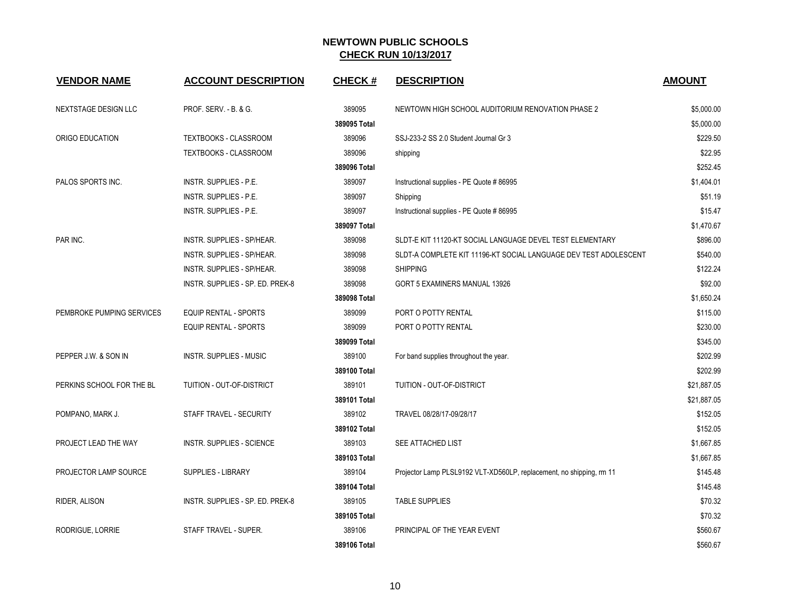| <b>VENDOR NAME</b>        | <b>ACCOUNT DESCRIPTION</b>       | <b>CHECK#</b> | <b>DESCRIPTION</b>                                                   | <b>AMOUNT</b> |
|---------------------------|----------------------------------|---------------|----------------------------------------------------------------------|---------------|
| NEXTSTAGE DESIGN LLC      | PROF. SERV. - B. & G.            | 389095        | NEWTOWN HIGH SCHOOL AUDITORIUM RENOVATION PHASE 2                    | \$5,000.00    |
|                           |                                  | 389095 Total  |                                                                      | \$5,000.00    |
| ORIGO EDUCATION           | <b>TEXTBOOKS - CLASSROOM</b>     | 389096        | SSJ-233-2 SS 2.0 Student Journal Gr 3                                | \$229.50      |
|                           | <b>TEXTBOOKS - CLASSROOM</b>     | 389096        | shipping                                                             | \$22.95       |
|                           |                                  | 389096 Total  |                                                                      | \$252.45      |
| PALOS SPORTS INC.         | <b>INSTR. SUPPLIES - P.E.</b>    | 389097        | Instructional supplies - PE Quote #86995                             | \$1,404.01    |
|                           | INSTR. SUPPLIES - P.E.           | 389097        | Shipping                                                             | \$51.19       |
|                           | INSTR. SUPPLIES - P.E.           | 389097        | Instructional supplies - PE Quote # 86995                            | \$15.47       |
|                           |                                  | 389097 Total  |                                                                      | \$1,470.67    |
| PAR INC.                  | INSTR. SUPPLIES - SP/HEAR.       | 389098        | SLDT-E KIT 11120-KT SOCIAL LANGUAGE DEVEL TEST ELEMENTARY            | \$896.00      |
|                           | INSTR. SUPPLIES - SP/HEAR.       | 389098        | SLDT-A COMPLETE KIT 11196-KT SOCIAL LANGUAGE DEV TEST ADOLESCENT     | \$540.00      |
|                           | INSTR. SUPPLIES - SP/HEAR.       | 389098        | <b>SHIPPING</b>                                                      | \$122.24      |
|                           | INSTR. SUPPLIES - SP. ED. PREK-8 | 389098        | GORT 5 EXAMINERS MANUAL 13926                                        | \$92.00       |
|                           |                                  | 389098 Total  |                                                                      | \$1,650.24    |
| PEMBROKE PUMPING SERVICES | <b>EQUIP RENTAL - SPORTS</b>     | 389099        | PORT O POTTY RENTAL                                                  | \$115.00      |
|                           | <b>EQUIP RENTAL - SPORTS</b>     | 389099        | PORT O POTTY RENTAL                                                  | \$230.00      |
|                           |                                  | 389099 Total  |                                                                      | \$345.00      |
| PEPPER J.W. & SON IN      | INSTR. SUPPLIES - MUSIC          | 389100        | For band supplies throughout the year.                               | \$202.99      |
|                           |                                  | 389100 Total  |                                                                      | \$202.99      |
| PERKINS SCHOOL FOR THE BL | TUITION - OUT-OF-DISTRICT        | 389101        | TUITION - OUT-OF-DISTRICT                                            | \$21,887.05   |
|                           |                                  | 389101 Total  |                                                                      | \$21,887.05   |
| POMPANO, MARK J.          | STAFF TRAVEL - SECURITY          | 389102        | TRAVEL 08/28/17-09/28/17                                             | \$152.05      |
|                           |                                  | 389102 Total  |                                                                      | \$152.05      |
| PROJECT LEAD THE WAY      | <b>INSTR. SUPPLIES - SCIENCE</b> | 389103        | SEE ATTACHED LIST                                                    | \$1,667.85    |
|                           |                                  | 389103 Total  |                                                                      | \$1,667.85    |
| PROJECTOR LAMP SOURCE     | <b>SUPPLIES - LIBRARY</b>        | 389104        | Projector Lamp PLSL9192 VLT-XD560LP, replacement, no shipping, rm 11 | \$145.48      |
|                           |                                  | 389104 Total  |                                                                      | \$145.48      |
| RIDER, ALISON             | INSTR. SUPPLIES - SP. ED. PREK-8 | 389105        | <b>TABLE SUPPLIES</b>                                                | \$70.32       |
|                           |                                  | 389105 Total  |                                                                      | \$70.32       |
| RODRIGUE, LORRIE          | STAFF TRAVEL - SUPER.            | 389106        | PRINCIPAL OF THE YEAR EVENT                                          | \$560.67      |
|                           |                                  | 389106 Total  |                                                                      | \$560.67      |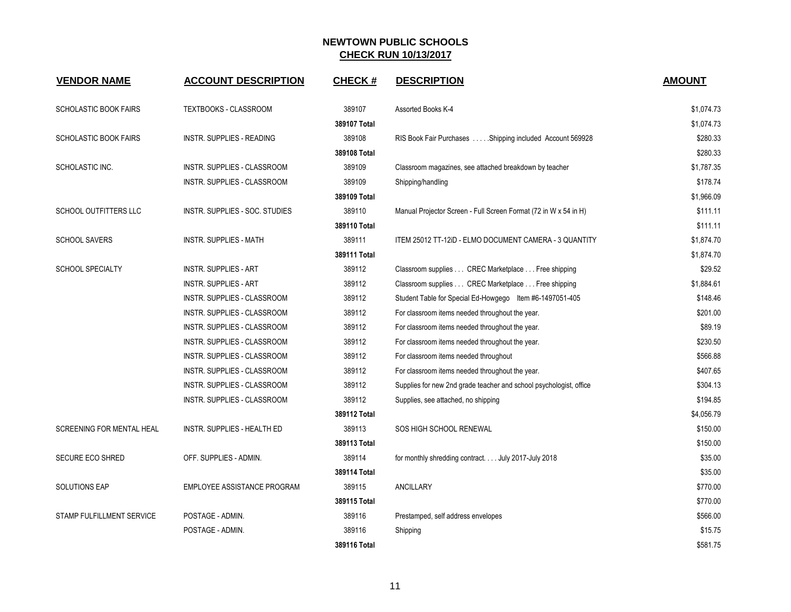| <b>VENDOR NAME</b>               | <b>ACCOUNT DESCRIPTION</b>       | <b>CHECK#</b> | <b>DESCRIPTION</b>                                                 | <b>AMOUNT</b> |
|----------------------------------|----------------------------------|---------------|--------------------------------------------------------------------|---------------|
| <b>SCHOLASTIC BOOK FAIRS</b>     | TEXTBOOKS - CLASSROOM            | 389107        | Assorted Books K-4                                                 | \$1,074.73    |
|                                  |                                  | 389107 Total  |                                                                    | \$1,074.73    |
| <b>SCHOLASTIC BOOK FAIRS</b>     | <b>INSTR. SUPPLIES - READING</b> | 389108        | RIS Book Fair Purchases  Shipping included Account 569928          | \$280.33      |
|                                  |                                  | 389108 Total  |                                                                    | \$280.33      |
| SCHOLASTIC INC.                  | INSTR. SUPPLIES - CLASSROOM      | 389109        | Classroom magazines, see attached breakdown by teacher             | \$1,787.35    |
|                                  | INSTR. SUPPLIES - CLASSROOM      | 389109        | Shipping/handling                                                  | \$178.74      |
|                                  |                                  | 389109 Total  |                                                                    | \$1,966.09    |
| <b>SCHOOL OUTFITTERS LLC</b>     | INSTR. SUPPLIES - SOC. STUDIES   | 389110        | Manual Projector Screen - Full Screen Format (72 in W x 54 in H)   | \$111.11      |
|                                  |                                  | 389110 Total  |                                                                    | \$111.11      |
| <b>SCHOOL SAVERS</b>             | INSTR. SUPPLIES - MATH           | 389111        | ITEM 25012 TT-12ID - ELMO DOCUMENT CAMERA - 3 QUANTITY             | \$1,874.70    |
|                                  |                                  | 389111 Total  |                                                                    | \$1,874.70    |
| <b>SCHOOL SPECIALTY</b>          | INSTR. SUPPLIES - ART            | 389112        | Classroom supplies CREC Marketplace Free shipping                  | \$29.52       |
|                                  | <b>INSTR. SUPPLIES - ART</b>     | 389112        | Classroom supplies CREC Marketplace Free shipping                  | \$1,884.61    |
|                                  | INSTR. SUPPLIES - CLASSROOM      | 389112        | Student Table for Special Ed-Howgego Item #6-1497051-405           | \$148.46      |
|                                  | INSTR. SUPPLIES - CLASSROOM      | 389112        | For classroom items needed throughout the year.                    | \$201.00      |
|                                  | INSTR. SUPPLIES - CLASSROOM      | 389112        | For classroom items needed throughout the year.                    | \$89.19       |
|                                  | INSTR. SUPPLIES - CLASSROOM      | 389112        | For classroom items needed throughout the year.                    | \$230.50      |
|                                  | INSTR. SUPPLIES - CLASSROOM      | 389112        | For classroom items needed throughout                              | \$566.88      |
|                                  | INSTR. SUPPLIES - CLASSROOM      | 389112        | For classroom items needed throughout the year.                    | \$407.65      |
|                                  | INSTR. SUPPLIES - CLASSROOM      | 389112        | Supplies for new 2nd grade teacher and school psychologist, office | \$304.13      |
|                                  | INSTR. SUPPLIES - CLASSROOM      | 389112        | Supplies, see attached, no shipping                                | \$194.85      |
|                                  |                                  | 389112 Total  |                                                                    | \$4,056.79    |
| <b>SCREENING FOR MENTAL HEAL</b> | INSTR. SUPPLIES - HEALTH ED      | 389113        | SOS HIGH SCHOOL RENEWAL                                            | \$150.00      |
|                                  |                                  | 389113 Total  |                                                                    | \$150.00      |
| SECURE ECO SHRED                 | OFF. SUPPLIES - ADMIN.           | 389114        | for monthly shredding contract. July 2017-July 2018                | \$35.00       |
|                                  |                                  | 389114 Total  |                                                                    | \$35.00       |
| <b>SOLUTIONS EAP</b>             | EMPLOYEE ASSISTANCE PROGRAM      | 389115        | ANCILLARY                                                          | \$770.00      |
|                                  |                                  | 389115 Total  |                                                                    | \$770.00      |
| STAMP FULFILLMENT SERVICE        | POSTAGE - ADMIN.                 | 389116        | Prestamped, self address envelopes                                 | \$566.00      |
|                                  | POSTAGE - ADMIN.                 | 389116        | Shipping                                                           | \$15.75       |
|                                  |                                  | 389116 Total  |                                                                    | \$581.75      |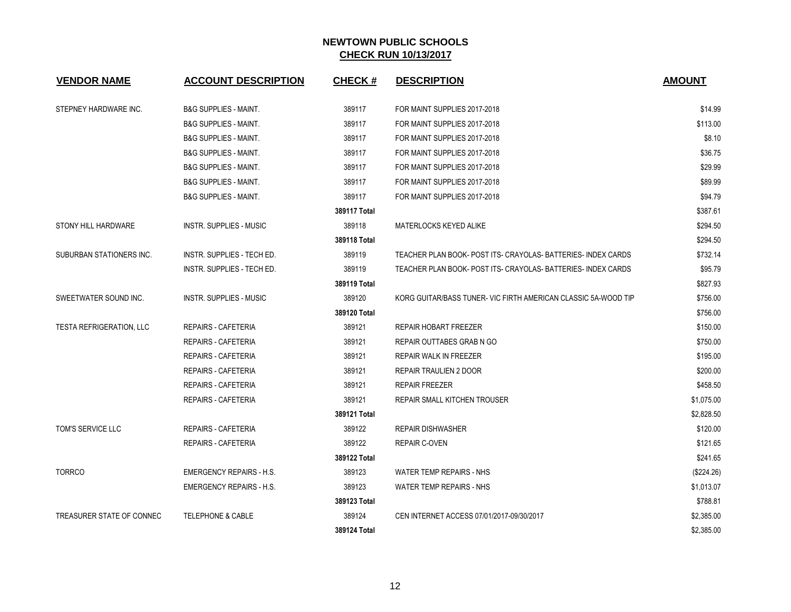| <b>VENDOR NAME</b>              | <b>ACCOUNT DESCRIPTION</b>        | CHECK #      | <b>DESCRIPTION</b>                                             | <b>AMOUNT</b> |
|---------------------------------|-----------------------------------|--------------|----------------------------------------------------------------|---------------|
| STEPNEY HARDWARE INC.           | <b>B&amp;G SUPPLIES - MAINT.</b>  | 389117       | FOR MAINT SUPPLIES 2017-2018                                   | \$14.99       |
|                                 | <b>B&amp;G SUPPLIES - MAINT.</b>  | 389117       | FOR MAINT SUPPLIES 2017-2018                                   | \$113.00      |
|                                 | <b>B&amp;G SUPPLIES - MAINT.</b>  | 389117       | FOR MAINT SUPPLIES 2017-2018                                   | \$8.10        |
|                                 | <b>B&amp;G SUPPLIES - MAINT.</b>  | 389117       | FOR MAINT SUPPLIES 2017-2018                                   | \$36.75       |
|                                 | <b>B&amp;G SUPPLIES - MAINT.</b>  | 389117       | FOR MAINT SUPPLIES 2017-2018                                   | \$29.99       |
|                                 | <b>B&amp;G SUPPLIES - MAINT.</b>  | 389117       | FOR MAINT SUPPLIES 2017-2018                                   | \$89.99       |
|                                 | <b>B&amp;G SUPPLIES - MAINT.</b>  | 389117       | FOR MAINT SUPPLIES 2017-2018                                   | \$94.79       |
|                                 |                                   | 389117 Total |                                                                | \$387.61      |
| STONY HILL HARDWARE             | INSTR. SUPPLIES - MUSIC           | 389118       | MATERLOCKS KEYED ALIKE                                         | \$294.50      |
|                                 |                                   | 389118 Total |                                                                | \$294.50      |
| SUBURBAN STATIONERS INC.        | <b>INSTR. SUPPLIES - TECH ED.</b> | 389119       | TEACHER PLAN BOOK- POST ITS- CRAYOLAS-BATTERIES- INDEX CARDS   | \$732.14      |
|                                 | INSTR. SUPPLIES - TECH ED.        | 389119       | TEACHER PLAN BOOK- POST ITS- CRAYOLAS- BATTERIES- INDEX CARDS  | \$95.79       |
|                                 |                                   | 389119 Total |                                                                | \$827.93      |
| SWEETWATER SOUND INC.           | <b>INSTR. SUPPLIES - MUSIC</b>    | 389120       | KORG GUITAR/BASS TUNER- VIC FIRTH AMERICAN CLASSIC 5A-WOOD TIP | \$756.00      |
|                                 |                                   | 389120 Total |                                                                | \$756.00      |
| <b>TESTA REFRIGERATION, LLC</b> | REPAIRS - CAFETERIA               | 389121       | REPAIR HOBART FREEZER                                          | \$150.00      |
|                                 | <b>REPAIRS - CAFETERIA</b>        | 389121       | REPAIR OUTTABES GRAB N GO                                      | \$750.00      |
|                                 | <b>REPAIRS - CAFETERIA</b>        | 389121       | REPAIR WALK IN FREEZER                                         | \$195.00      |
|                                 | REPAIRS - CAFETERIA               | 389121       | REPAIR TRAULIEN 2 DOOR                                         | \$200.00      |
|                                 | <b>REPAIRS - CAFETERIA</b>        | 389121       | <b>REPAIR FREEZER</b>                                          | \$458.50      |
|                                 | REPAIRS - CAFETERIA               | 389121       | REPAIR SMALL KITCHEN TROUSER                                   | \$1,075.00    |
|                                 |                                   | 389121 Total |                                                                | \$2,828.50    |
| TOM'S SERVICE LLC               | REPAIRS - CAFETERIA               | 389122       | <b>REPAIR DISHWASHER</b>                                       | \$120.00      |
|                                 | <b>REPAIRS - CAFETERIA</b>        | 389122       | <b>REPAIR C-OVEN</b>                                           | \$121.65      |
|                                 |                                   | 389122 Total |                                                                | \$241.65      |
| <b>TORRCO</b>                   | <b>EMERGENCY REPAIRS - H.S.</b>   | 389123       | WATER TEMP REPAIRS - NHS                                       | (\$224.26)    |
|                                 | <b>EMERGENCY REPAIRS - H.S.</b>   | 389123       | WATER TEMP REPAIRS - NHS                                       | \$1,013.07    |
|                                 |                                   | 389123 Total |                                                                | \$788.81      |
| TREASURER STATE OF CONNEC       | <b>TELEPHONE &amp; CABLE</b>      | 389124       | CEN INTERNET ACCESS 07/01/2017-09/30/2017                      | \$2,385.00    |
|                                 |                                   | 389124 Total |                                                                | \$2.385.00    |